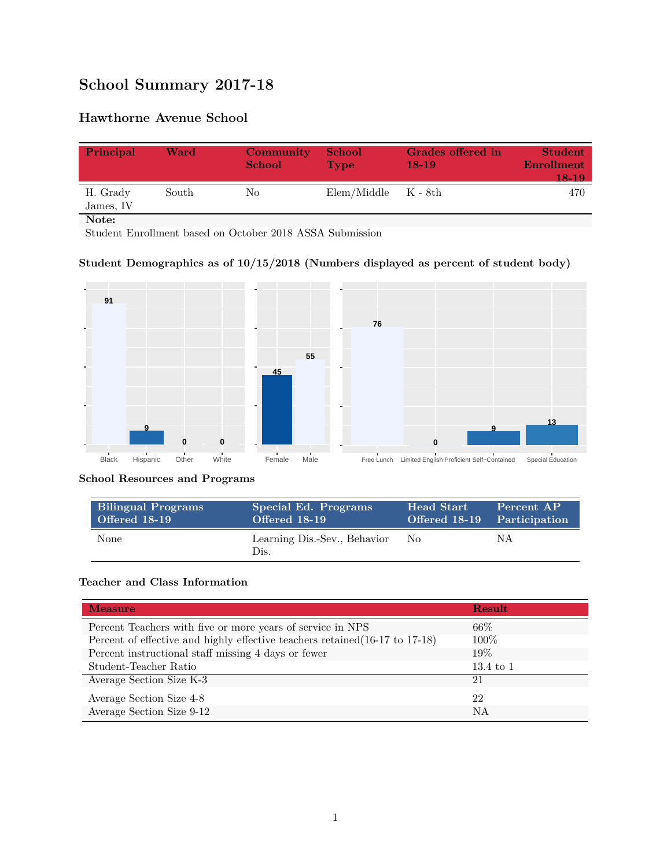# **School Summary 2017-18**

## **Hawthorne Avenue School**

| Principal             | Ward  | Community<br><b>School</b> | <b>School</b><br>Type   | Grades offered in<br>$18-19$ | <b>Student</b><br><b>Enrollment</b><br>18-19 |
|-----------------------|-------|----------------------------|-------------------------|------------------------------|----------------------------------------------|
| H. Grady<br>James, IV | South | No                         | $Elem/Middle$ $K - 8th$ |                              | 470                                          |
| Note:                 |       |                            |                         |                              |                                              |

Student Enrollment based on October 2018 ASSA Submission

## **Student Demographics as of 10/15/2018 (Numbers displayed as percent of student body)**



#### **School Resources and Programs**

| <b>Bilingual Programs</b> | Special Ed. Programs                 | <b>Head Start</b> | Percent AP                  |
|---------------------------|--------------------------------------|-------------------|-----------------------------|
| Offered 18-19             | Offered 18-19                        |                   | Offered 18-19 Participation |
| <b>None</b>               | Learning Dis.-Sev., Behavior<br>Dis. | No.               | ΝA                          |

#### **Teacher and Class Information**

| <b>Measure</b>                                                               | <b>Result</b>        |
|------------------------------------------------------------------------------|----------------------|
| Percent Teachers with five or more years of service in NPS                   | $66\%$               |
| Percent of effective and highly effective teachers retained (16-17 to 17-18) | 100\%                |
| Percent instructional staff missing 4 days or fewer                          | $19\%$               |
| Student-Teacher Ratio                                                        | $13.4 \text{ to } 1$ |
| Average Section Size K-3                                                     | 21                   |
| Average Section Size 4-8                                                     | 22                   |
| Average Section Size 9-12                                                    | NA                   |